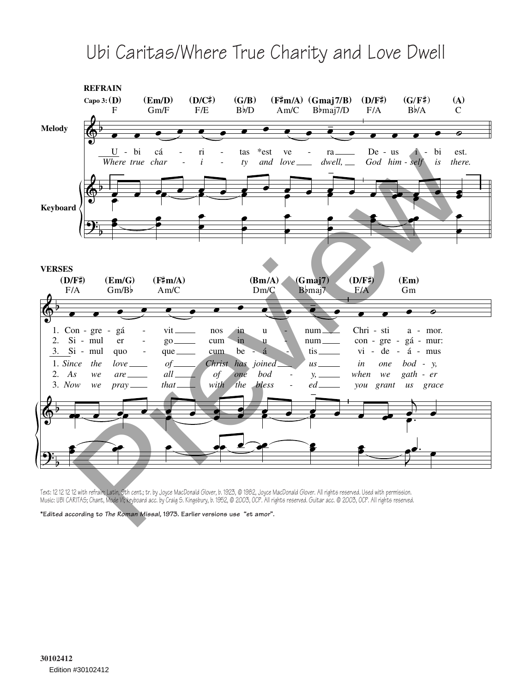## Ubi Caritas/Where True Charity and Love Dwell



Text: 12 12 12 12 with refrain; Latin, 9th cent.; tr. by Joyce MacDonald Glover, b. 1923, © 1982, Joyce MacDonald Glover. All rights reserved. Used with permission. Music: UBI CARITAS; Chant, Mode VI; keyboard acc. by Craig S. Kingsbury, b. 1952, © 2003, OCP. All rights reserved. Guitar acc. © 2003, OCP. All rights reserved.

**\*Edited according to** *The Roman Missal,* **1973. Earlier versions use "et amor".**